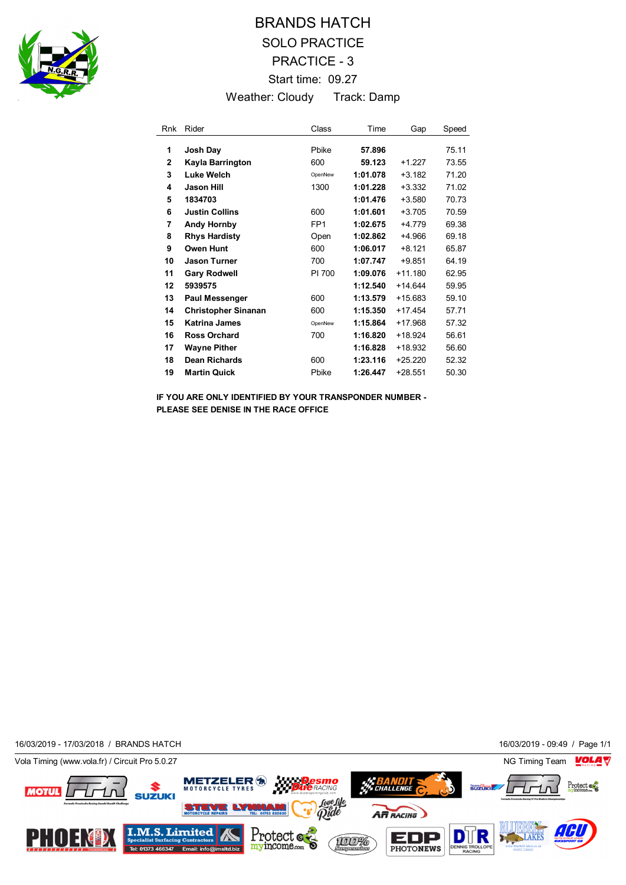

## BRANDS HATCH SOLO PRACTICE PRACTICE - 3 Start time: 09.27 Weather: Cloudy Track: Damp

| Rnk          | Rider                      | Class           | Time     | Gap       | Speed |
|--------------|----------------------------|-----------------|----------|-----------|-------|
| 1            | Josh Day                   | Phike           | 57.896   |           | 75.11 |
| $\mathbf{2}$ | Kayla Barrington           | 600             | 59.123   | +1 227    | 73.55 |
| 3            | Luke Welch                 | OpenNew         | 1:01.078 | $+3.182$  | 71.20 |
| 4            | Jason Hill                 | 1300            | 1:01.228 | $+3.332$  | 71.02 |
| 5            | 1834703                    |                 | 1:01.476 | $+3.580$  | 70.73 |
| 6            | <b>Justin Collins</b>      | 600             | 1:01.601 | $+3.705$  | 70.59 |
| 7            | <b>Andy Hornby</b>         | FP <sub>1</sub> | 1:02.675 | $+4.779$  | 69.38 |
| 8            | <b>Rhys Hardisty</b>       | Open            | 1:02.862 | $+4.966$  | 69.18 |
| 9            | Owen Hunt                  | 600             | 1:06.017 | $+8,121$  | 65.87 |
| 10           | <b>Jason Turner</b>        | 700             | 1:07.747 | $+9.851$  | 64.19 |
| 11           | <b>Gary Rodwell</b>        | PI 700          | 1:09.076 | $+11.180$ | 62.95 |
| 12           | 5939575                    |                 | 1:12.540 | $+14.644$ | 59.95 |
| 13           | <b>Paul Messenger</b>      | 600             | 1:13.579 | $+15.683$ | 59.10 |
| 14           | <b>Christopher Sinanan</b> | 600             | 1:15.350 | $+17.454$ | 57.71 |
| 15           | <b>Katrina James</b>       | OpenNew         | 1:15.864 | $+17.968$ | 57.32 |
| 16           | <b>Ross Orchard</b>        | 700             | 1:16.820 | $+18.924$ | 56.61 |
| 17           | <b>Wayne Pither</b>        |                 | 1:16.828 | +18.932   | 56.60 |
| 18           | <b>Dean Richards</b>       | 600             | 1:23.116 | $+25.220$ | 52.32 |
| 19           | <b>Martin Quick</b>        | Pbike           | 1:26.447 | $+28.551$ | 50.30 |

**IF YOU ARE ONLY IDENTIFIED BY YOUR TRANSPONDER NUMBER - PLEASE SEE DENISE IN THE RACE OFFICE**